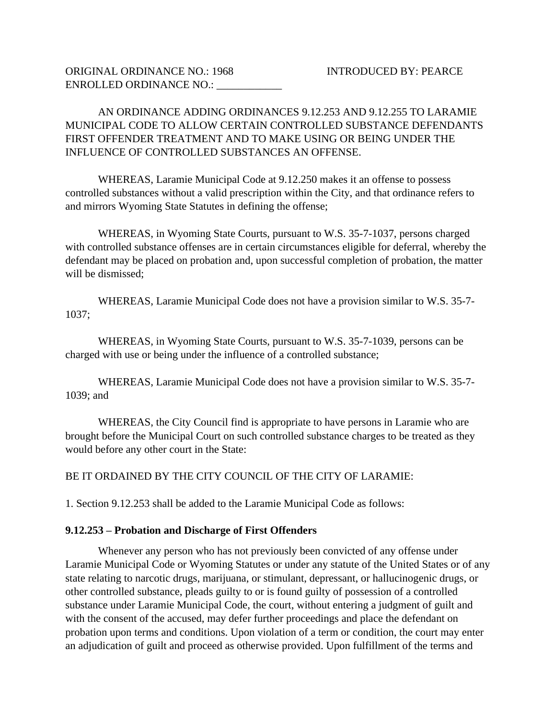AN ORDINANCE ADDING ORDINANCES 9.12.253 AND 9.12.255 TO LARAMIE MUNICIPAL CODE TO ALLOW CERTAIN CONTROLLED SUBSTANCE DEFENDANTS FIRST OFFENDER TREATMENT AND TO MAKE USING OR BEING UNDER THE INFLUENCE OF CONTROLLED SUBSTANCES AN OFFENSE.

WHEREAS, Laramie Municipal Code at 9.12.250 makes it an offense to possess controlled substances without a valid prescription within the City, and that ordinance refers to and mirrors Wyoming State Statutes in defining the offense;

WHEREAS, in Wyoming State Courts, pursuant to W.S. 35-7-1037, persons charged with controlled substance offenses are in certain circumstances eligible for deferral, whereby the defendant may be placed on probation and, upon successful completion of probation, the matter will be dismissed;

WHEREAS, Laramie Municipal Code does not have a provision similar to W.S. 35-7- 1037;

WHEREAS, in Wyoming State Courts, pursuant to W.S. 35-7-1039, persons can be charged with use or being under the influence of a controlled substance;

WHEREAS, Laramie Municipal Code does not have a provision similar to W.S. 35-7- 1039; and

WHEREAS, the City Council find is appropriate to have persons in Laramie who are brought before the Municipal Court on such controlled substance charges to be treated as they would before any other court in the State:

BE IT ORDAINED BY THE CITY COUNCIL OF THE CITY OF LARAMIE:

1. Section 9.12.253 shall be added to the Laramie Municipal Code as follows:

## **9.12.253 – Probation and Discharge of First Offenders**

Whenever any person who has not previously been convicted of any offense under Laramie Municipal Code or Wyoming Statutes or under any statute of the United States or of any state relating to narcotic drugs, marijuana, or stimulant, depressant, or hallucinogenic drugs, or other controlled substance, pleads guilty to or is found guilty of possession of a controlled substance under Laramie Municipal Code, the court, without entering a judgment of guilt and with the consent of the accused, may defer further proceedings and place the defendant on probation upon terms and conditions. Upon violation of a term or condition, the court may enter an adjudication of guilt and proceed as otherwise provided. Upon fulfillment of the terms and